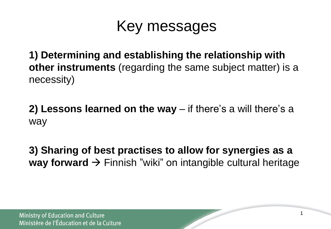## Key messages

**1) Determining and establishing the relationship with other instruments** (regarding the same subject matter) is a necessity)

**2) Lessons learned on the way** – if there's a will there's a way

**3) Sharing of best practises to allow for synergies as a way forward**  $\rightarrow$  Finnish "wiki" on intangible cultural heritage

1

**Ministry of Education and Culture** Ministère de l'Éducation et de la Culture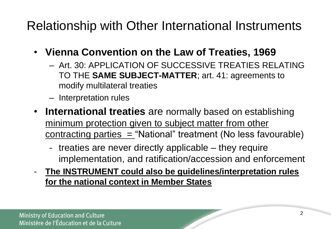Relationship with Other International Instruments

- **Vienna Convention on the Law of Treaties, 1969**
	- Art. 30: APPLICATION OF SUCCESSIVE TREATIES RELATING TO THE **SAME SUBJECT-MATTER**; art. 41: agreements to modify multilateral treaties
	- Interpretation rules
- **International treaties** are normally based on establishing minimum protection given to subject matter from other contracting parties  $=$  "National" treatment (No less favourable)
	- treaties are never directly applicable they require implementation, and ratification/accession and enforcement
- **The INSTRUMENT could also be guidelines/interpretation rules for the national context in Member States**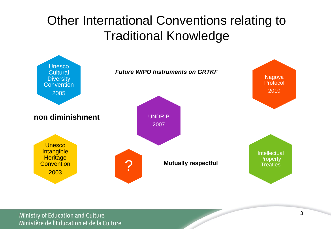## Other International Conventions relating to Traditional Knowledge

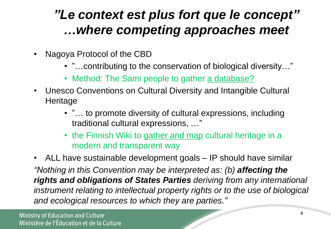## *"Le context est plus fort que le concept" …where competing approaches meet*

- Nagoya Protocol of the CBD
	- "…contributing to the conservation of biological diversity…"
	- Method: The Sami people to gather a database?
- Unesco Conventions on Cultural Diversity and Intangible Cultural **Heritage** 
	- "… to promote diversity of cultural expressions, including traditional cultural expressions, …"
	- the Finnish Wiki to gather and map cultural heritage in a modern and transparent way
- ALL have sustainable development goals IP should have similar *"Nothing in this Convention may be interpreted as: (b) affecting the rights and obligations of States Parties deriving from any international instrument relating to intellectual property rights or to the use of biological and ecological resources to which they are parties."*